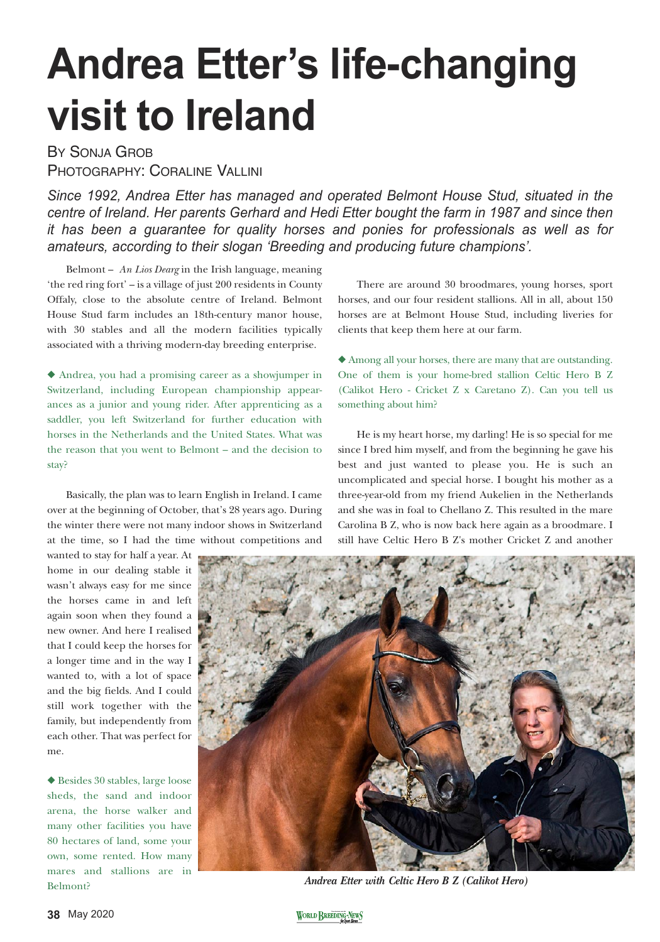## **Andrea Etter's life-changing visit to Ireland**

BY SONJA GROB PHOTOGRAPHY: CORALINE VALLINI

*Since 1992, Andrea Etter has managed and operated Belmont House Stud, situated in the centre of Ireland. Her parents Gerhard and Hedi Etter bought the farm in 1987 and since then it has been a guarantee for quality horses and ponies for professionals as well as for amateurs, according to their slogan 'Breeding and producing future champions'.*

Belmont – *An Lios Dearg* in the Irish language, meaning 'the red ring fort' – is a village of just 200 residents in County Offaly, close to the absolute centre of Ireland. Belmont House Stud farm includes an 18th-century manor house, with 30 stables and all the modern facilities typically associated with a thriving modern-day breeding enterprise.

◆ Andrea, you had a promising career as a showjumper in Switzerland, including European championship appearances as a junior and young rider. After apprenticing as a saddler, you left Switzerland for further education with horses in the Netherlands and the United States. What was the reason that you went to Belmont – and the decision to stay?

Basically, the plan was to learn English in Ireland. I came over at the beginning of October, that's 28 years ago. During the winter there were not many indoor shows in Switzerland at the time, so I had the time without competitions and

wanted to stay for half a year. At home in our dealing stable it wasn't always easy for me since the horses came in and left again soon when they found a new owner. And here I realised that I could keep the horses for a longer time and in the way I wanted to, with a lot of space and the big fields. And I could still work together with the family, but independently from each other. That was perfect for me.

◆ Besides 30 stables, large loose sheds, the sand and indoor arena, the horse walker and many other facilities you have 80 hectares of land, some your own, some rented. How many mares and stallions are in Belmont?

There are around 30 broodmares, young horses, sport horses, and our four resident stallions. All in all, about 150 horses are at Belmont House Stud, including liveries for clients that keep them here at our farm.

◆ Among all your horses, there are many that are outstanding. One of them is your home-bred stallion Celtic Hero B Z (Calikot Hero - Cricket Z x Caretano Z). Can you tell us something about him?

He is my heart horse, my darling! He is so special for me since I bred him myself, and from the beginning he gave his best and just wanted to please you. He is such an uncomplicated and special horse. I bought his mother as a three-year-old from my friend Aukelien in the Netherlands and she was in foal to Chellano Z. This resulted in the mare Carolina B Z, who is now back here again as a broodmare. I still have Celtic Hero B Z's mother Cricket Z and another



*Andrea Etter with Celtic Hero B Z (Calikot Hero)*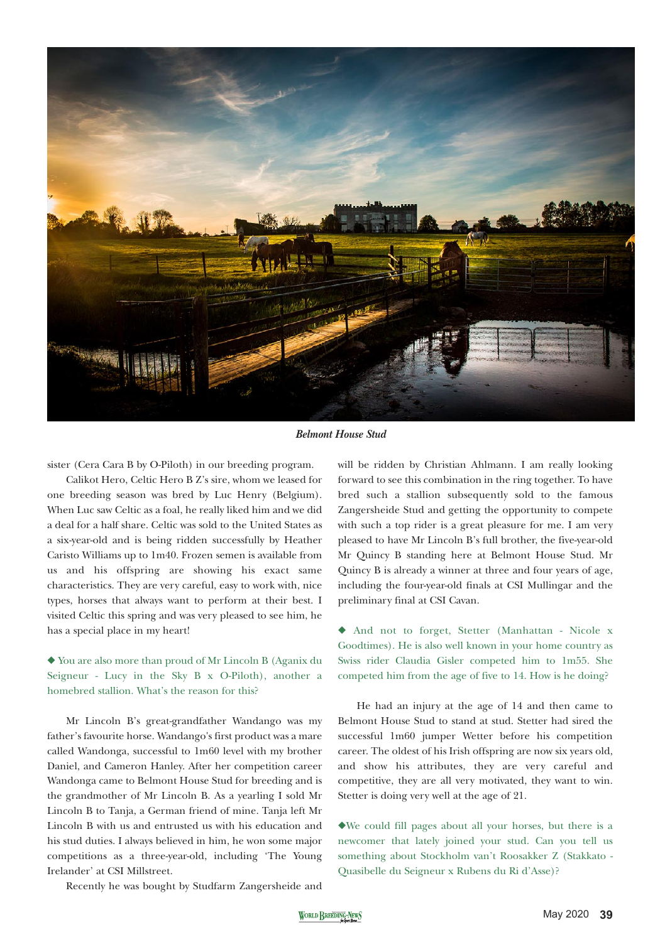

*Belmont House Stud*

sister (Cera Cara B by O-Piloth) in our breeding program.

Calikot Hero, Celtic Hero B Z's sire, whom we leased for one breeding season was bred by Luc Henry (Belgium). When Luc saw Celtic as a foal, he really liked him and we did a deal for a half share. Celtic was sold to the United States as a six-year-old and is being ridden successfully by Heather Caristo Williams up to 1m40. Frozen semen is available from us and his offspring are showing his exact same characteristics. They are very careful, easy to work with, nice types, horses that always want to perform at their best. I visited Celtic this spring and was very pleased to see him, he has a special place in my heart!

◆ You are also more than proud of Mr Lincoln B (Aganix du Seigneur - Lucy in the Sky B x O-Piloth), another a homebred stallion. What's the reason for this?

Mr Lincoln B's great-grandfather Wandango was my father's favourite horse. Wandango's first product was a mare called Wandonga, successful to 1m60 level with my brother Daniel, and Cameron Hanley. After her competition career Wandonga came to Belmont House Stud for breeding and is the grandmother of Mr Lincoln B. As a yearling I sold Mr Lincoln B to Tanja, a German friend of mine. Tanja left Mr Lincoln B with us and entrusted us with his education and his stud duties. I always believed in him, he won some major competitions as a three-year-old, including 'The Young Irelander' at CSI Millstreet.

will be ridden by Christian Ahlmann. I am really looking forward to see this combination in the ring together. To have bred such a stallion subsequently sold to the famous Zangersheide Stud and getting the opportunity to compete with such a top rider is a great pleasure for me. I am very pleased to have Mr Lincoln B's full brother, the five-year-old Mr Quincy B standing here at Belmont House Stud. Mr Quincy B is already a winner at three and four years of age, including the four-year-old finals at CSI Mullingar and the preliminary final at CSI Cavan.

◆ And not to forget, Stetter (Manhattan - Nicole x Goodtimes). He is also well known in your home country as Swiss rider Claudia Gisler competed him to 1m55. She competed him from the age of five to 14. How is he doing?

He had an injury at the age of 14 and then came to Belmont House Stud to stand at stud. Stetter had sired the successful 1m60 jumper Wetter before his competition career. The oldest of his Irish offspring are now six years old, and show his attributes, they are very careful and competitive, they are all very motivated, they want to win. Stetter is doing very well at the age of 21.

◆We could fill pages about all your horses, but there is a newcomer that lately joined your stud. Can you tell us something about Stockholm van't Roosakker Z (Stakkato - Quasibelle du Seigneur x Rubens du Ri d'Asse)?

Recently he was bought by Studfarm Zangersheide and